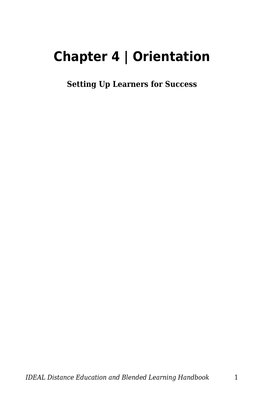# **Chapter 4 | Orientation**

**Setting Up Learners for Success**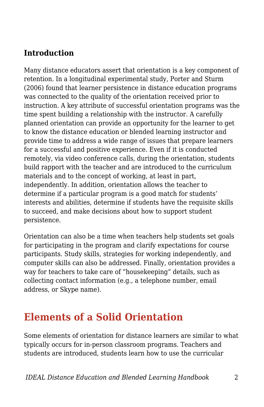### **Introduction**

Many distance educators assert that orientation is a key component of retention. In a longitudinal experimental study, Porter and Sturm (2006) found that learner persistence in distance education programs was connected to the quality of the orientation received prior to instruction. A key attribute of successful orientation programs was the time spent building a relationship with the instructor. A carefully planned orientation can provide an opportunity for the learner to get to know the distance education or blended learning instructor and provide time to address a wide range of issues that prepare learners for a successful and positive experience. Even if it is conducted remotely, via video conference calls, during the orientation, students build rapport with the teacher and are introduced to the curriculum materials and to the concept of working, at least in part, independently. In addition, orientation allows the teacher to determine if a particular program is a good match for students' interests and abilities, determine if students have the requisite skills to succeed, and make decisions about how to support student persistence.

Orientation can also be a time when teachers help students set goals for participating in the program and clarify expectations for course participants. Study skills, strategies for working independently, and computer skills can also be addressed. Finally, orientation provides a way for teachers to take care of "housekeeping" details, such as collecting contact information (e.g., a telephone number, email address, or Skype name).

### **Elements of a Solid Orientation**

Some elements of orientation for distance learners are similar to what typically occurs for in-person classroom programs. Teachers and students are introduced, students learn how to use the curricular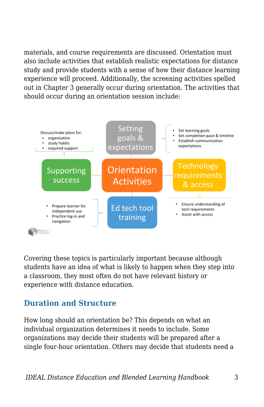materials, and course requirements are discussed. Orientation must also include activities that establish realistic expectations for distance study and provide students with a sense of how their distance learning experience will proceed. Additionally, the screening activities spelled out in Chapter 3 generally occur during orientation. The activities that should occur during an orientation session include:



Covering these topics is particularly important because although students have an idea of what is likely to happen when they step into a classroom, they most often do not have relevant history or experience with distance education.

### **Duration and Structure**

How long should an orientation be? This depends on what an individual organization determines it needs to include. Some organizations may decide their students will be prepared after a single four-hour orientation. Others may decide that students need a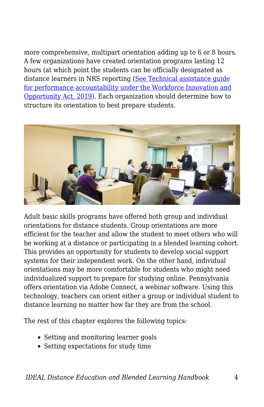more comprehensive, multipart orientation adding up to 6 or 8 hours. A few organizations have created orientation programs lasting 12 hours (at which point the students can be officially designated as distance learners in NRS reporting ([See Technical assistance guide](https://nrsweb.org/policy-data/nrs-ta-guide) [for performance accountability under the Workforce Innovation and](https://nrsweb.org/policy-data/nrs-ta-guide) [Opportunity Act, 2019](https://nrsweb.org/policy-data/nrs-ta-guide)). Each organization should determine how to structure its orientation to best prepare students.



Adult basic skills programs have offered both group and individual orientations for distance students. Group orientations are more efficient for the teacher and allow the student to meet others who will be working at a distance or participating in a blended learning cohort. This provides an opportunity for students to develop social support systems for their independent work. On the other hand, individual orientations may be more comfortable for students who might need individualized support to prepare for studying online. Pennsylvania offers orientation via Adobe Connect, a webinar software. Using this technology, teachers can orient either a group or individual student to distance learning no matter how far they are from the school.

The rest of this chapter explores the following topics:

- Setting and monitoring learner goals
- Setting expectations for study time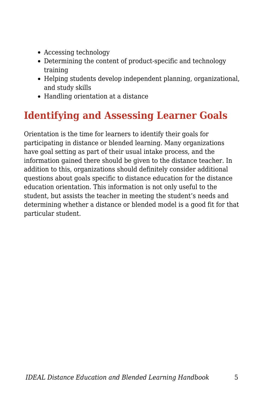- Accessing technology
- Determining the content of product-specific and technology training
- Helping students develop independent planning, organizational, and study skills
- Handling orientation at a distance

# **Identifying and Assessing Learner Goals**

Orientation is the time for learners to identify their goals for participating in distance or blended learning. Many organizations have goal setting as part of their usual intake process, and the information gained there should be given to the distance teacher. In addition to this, organizations should definitely consider additional questions about goals specific to distance education for the distance education orientation. This information is not only useful to the student, but assists the teacher in meeting the student's needs and determining whether a distance or blended model is a good fit for that particular student.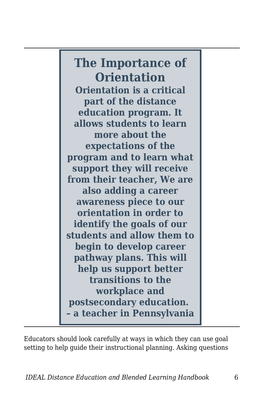**The Importance of Orientation Orientation is a critical part of the distance education program. It allows students to learn more about the expectations of the program and to learn what support they will receive from their teacher, We are also adding a career awareness piece to our orientation in order to identify the goals of our students and allow them to begin to develop career pathway plans. This will help us support better transitions to the workplace and postsecondary education. – a teacher in Pennsylvania**

Educators should look carefully at ways in which they can use goal setting to help guide their instructional planning. Asking questions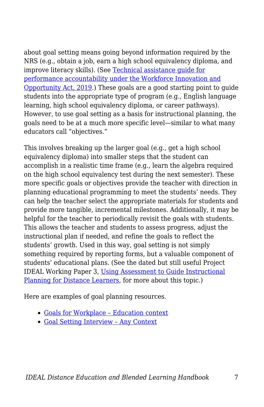about goal setting means going beyond information required by the NRS (e.g., obtain a job, earn a high school equivalency diploma, and improve literacy skills). (See [Technical assistance guide for](https://nrsweb.org/policy-data/nrs-ta-guide) [performance accountability under the Workforce Innovation and](https://nrsweb.org/policy-data/nrs-ta-guide) [Opportunity Act, 2019](https://nrsweb.org/policy-data/nrs-ta-guide).) These goals are a good starting point to guide students into the appropriate type of program (e.g., English language learning, high school equivalency diploma, or career pathways). However, to use goal setting as a basis for instructional planning, the goals need to be at a much more specific level—similar to what many educators call "objectives."

This involves breaking up the larger goal (e.g., get a high school equivalency diploma) into smaller steps that the student can accomplish in a realistic time frame (e.g., learn the algebra required on the high school equivalency test during the next semester). These more specific goals or objectives provide the teacher with direction in planning educational programming to meet the students' needs. They can help the teacher select the appropriate materials for students and provide more tangible, incremental milestones. Additionally, it may be helpful for the teacher to periodically revisit the goals with students. This allows the teacher and students to assess progress, adjust the instructional plan if needed, and refine the goals to reflect the students' growth. Used in this way, goal setting is not simply something required by reporting forms, but a valuable component of students' educational plans. (See the dated but still useful Project IDEAL Working Paper 3, [Using Assessment to Guide Instructional](https://edtech.worlded.org/wp-content/uploads/2017/07/WP3AssessmentGuidePlanning2004.pdf) [Planning for Distance Learners,](https://edtech.worlded.org/wp-content/uploads/2017/07/WP3AssessmentGuidePlanning2004.pdf) for more about this topic.)

Here are examples of goal planning resources.

- [Goals for Workplace Education context](https://docs.google.com/document/d/1zQCF9eq9nTk3ZQY_0E9M_Z5VoCi7KF5RMW7kEaJmL3Y/edit?usp=sharing)
- [Goal Setting Interview Any Context](https://docs.google.com/document/d/1BDTtzMx4tZ28Th9FLcUB8Kt_JTuCQYzOCBNQ21kvUKc/edit?usp=sharing)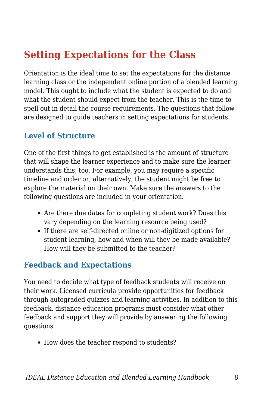# **Setting Expectations for the Class**

Orientation is the ideal time to set the expectations for the distance learning class or the independent online portion of a blended learning model. This ought to include what the student is expected to do and what the student should expect from the teacher. This is the time to spell out in detail the course requirements. The questions that follow are designed to guide teachers in setting expectations for students.

#### **Level of Structure**

One of the first things to get established is the amount of structure that will shape the learner experience and to make sure the learner understands this, too. For example, you may require a specific timeline and order or, alternatively, the student might be free to explore the material on their own. Make sure the answers to the following questions are included in your orientation.

- Are there due dates for completing student work? Does this vary depending on the learning resource being used?
- If there are self-directed online or non-digitized options for student learning, how and when will they be made available? How will they be submitted to the teacher?

### **Feedback and Expectations**

You need to decide what type of feedback students will receive on their work. Licensed curricula provide opportunities for feedback through autograded quizzes and learning activities. In addition to this feedback, distance education programs must consider what other feedback and support they will provide by answering the following questions.

• How does the teacher respond to students?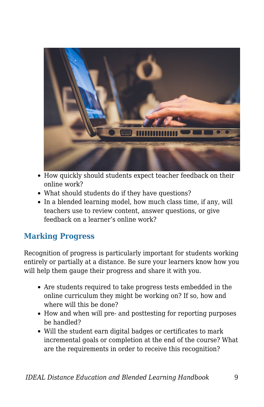

- How quickly should students expect teacher feedback on their online work?
- What should students do if they have questions?
- In a blended learning model, how much class time, if any, will teachers use to review content, answer questions, or give feedback on a learner's online work?

### **Marking Progress**

Recognition of progress is particularly important for students working entirely or partially at a distance. Be sure your learners know how you will help them gauge their progress and share it with you.

- Are students required to take progress tests embedded in the online curriculum they might be working on? If so, how and where will this be done?
- How and when will pre- and posttesting for reporting purposes be handled?
- Will the student earn digital badges or certificates to mark incremental goals or completion at the end of the course? What are the requirements in order to receive this recognition?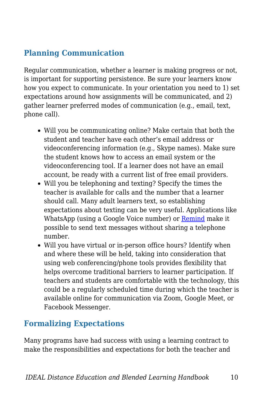### **Planning Communication**

Regular communication, whether a learner is making progress or not, is important for supporting persistence. Be sure your learners know how you expect to communicate. In your orientation you need to 1) set expectations around how assignments will be communicated, and 2) gather learner preferred modes of communication (e.g., email, text, phone call).

- Will you be communicating online? Make certain that both the student and teacher have each other's email address or videoconferencing information (e.g., Skype names). Make sure the student knows how to access an email system or the videoconferencing tool. If a learner does not have an email account, be ready with a current list of free email providers.
- Will you be telephoning and texting? Specify the times the teacher is available for calls and the number that a learner should call. Many adult learners text, so establishing expectations about texting can be very useful. Applications like WhatsApp (using a Google Voice number) or [Remind](https://www.remind.com/) make it possible to send text messages without sharing a telephone number.
- Will you have virtual or in-person office hours? Identify when and where these will be held, taking into consideration that using web conferencing/phone tools provides flexibility that helps overcome traditional barriers to learner participation. If teachers and students are comfortable with the technology, this could be a regularly scheduled time during which the teacher is available online for communication via Zoom, Google Meet, or Facebook Messenger.

### **Formalizing Expectations**

Many programs have had success with using a learning contract to make the responsibilities and expectations for both the teacher and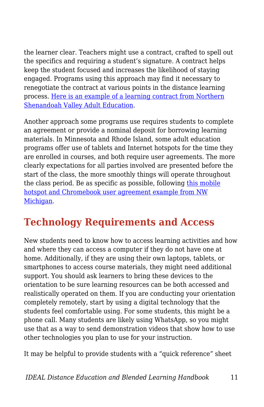the learner clear. Teachers might use a contract, crafted to spell out the specifics and requiring a student's signature. A contract helps keep the student focused and increases the likelihood of staying engaged. Programs using this approach may find it necessary to renegotiate the contract at various points in the distance learning process. [Here is an example of a learning contract from Northern](https://docs.google.com/document/d/1DaslPOlH0YMRBy4ibmXRhw8TbfTReqtLggSKoYqj0iA/edit?usp=sharing) [Shenandoah Valley Adult Education.](https://docs.google.com/document/d/1DaslPOlH0YMRBy4ibmXRhw8TbfTReqtLggSKoYqj0iA/edit?usp=sharing)

Another approach some programs use requires students to complete an agreement or provide a nominal deposit for borrowing learning materials. In Minnesota and Rhode Island, some adult education programs offer use of tablets and Internet hotspots for the time they are enrolled in courses, and both require user agreements. The more clearly expectations for all parties involved are presented before the start of the class, the more smoothly things will operate throughout the class period. Be as specific as possible, following [this mobile](https://drive.google.com/file/d/1ZOcDlXXi3qBT9j1Npf6oI4ykoZE-sSC5/view?usp=sharing) [hotspot and Chromebook user agreement example from NW](https://drive.google.com/file/d/1ZOcDlXXi3qBT9j1Npf6oI4ykoZE-sSC5/view?usp=sharing) [Michigan.](https://drive.google.com/file/d/1ZOcDlXXi3qBT9j1Npf6oI4ykoZE-sSC5/view?usp=sharing)

# **Technology Requirements and Access**

New students need to know how to access learning activities and how and where they can access a computer if they do not have one at home. Additionally, if they are using their own laptops, tablets, or smartphones to access course materials, they might need additional support. You should ask learners to bring these devices to the orientation to be sure learning resources can be both accessed and realistically operated on them. If you are conducting your orientation completely remotely, start by using a digital technology that the students feel comfortable using. For some students, this might be a phone call. Many students are likely using WhatsApp, so you might use that as a way to send demonstration videos that show how to use other technologies you plan to use for your instruction.

It may be helpful to provide students with a "quick reference" sheet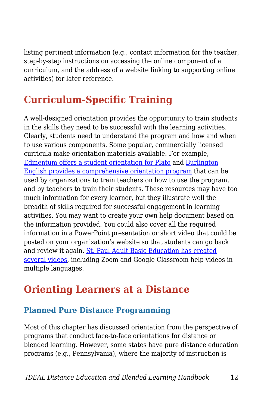listing pertinent information (e.g., contact information for the teacher, step-by-step instructions on accessing the online component of a curriculum, and the address of a website linking to supporting online activities) for later reference.

# **Curriculum-Specific Training**

A well-designed orientation provides the opportunity to train students in the skills they need to be successful with the learning activities. Clearly, students need to understand the program and how and when to use various components. Some popular, commercially licensed curricula make orientation materials available. For example, [Edmentum offers a student orientation for Plato](http://supportcdn.edmentum.com/Plato_Student_Orientation.pdf) and [Burlington](http://www.burlingtonenglish.com/wp-content/uploads/2015/11/BCP_Program-Orientation.pdf) [English provides a comprehensive orientation program](http://www.burlingtonenglish.com/wp-content/uploads/2015/11/BCP_Program-Orientation.pdf) that can be used by organizations to train teachers on how to use the program, and by teachers to train their students. These resources may have too much information for every learner, but they illustrate well the breadth of skills required for successful engagement in learning activities. You may want to create your own help document based on the information provided. You could also cover all the required information in a PowerPoint presentation or short video that could be posted on your organization's website so that students can go back and review it again. [St. Paul Adult Basic Education has created](https://www.spps.org/Page/36659) [several videos,](https://www.spps.org/Page/36659) including Zoom and Google Classroom help videos in multiple languages.

### **Orienting Learners at a Distance**

### **Planned Pure Distance Programming**

Most of this chapter has discussed orientation from the perspective of programs that conduct face-to-face orientations for distance or blended learning. However, some states have pure distance education programs (e.g., Pennsylvania), where the majority of instruction is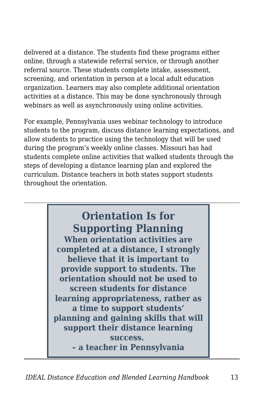delivered at a distance. The students find these programs either online, through a statewide referral service, or through another referral source. These students complete intake, assessment, screening, and orientation in person at a local adult education organization. Learners may also complete additional orientation activities at a distance. This may be done synchronously through webinars as well as asynchronously using online activities.

For example, Pennsylvania uses webinar technology to introduce students to the program, discuss distance learning expectations, and allow students to practice using the technology that will be used during the program's weekly online classes. Missouri has had students complete online activities that walked students through the steps of developing a distance learning plan and explored the curriculum. Distance teachers in both states support students throughout the orientation.

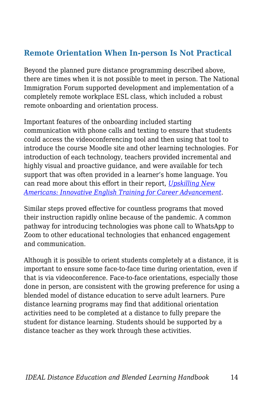### **Remote Orientation When In-person Is Not Practical**

Beyond the planned pure distance programming described above, there are times when it is not possible to meet in person. The National Immigration Forum supported development and implementation of a completely remote workplace ESL class, which included a robust remote onboarding and orientation process.

Important features of the onboarding included starting communication with phone calls and texting to ensure that students could access the videoconferencing tool and then using that tool to introduce the course Moodle site and other learning technologies. For introduction of each technology, teachers provided incremental and highly visual and proactive guidance, and were available for tech support that was often provided in a learner's home language. You can read more about this effort in their report, *[Upskilling New](https://immigrationforum.org/article/upskilling-new-americans-innovative-english-training-for-career-advancement/) [Americans: Innovative English Training for Career Advancement](https://immigrationforum.org/article/upskilling-new-americans-innovative-english-training-for-career-advancement/)*.

Similar steps proved effective for countless programs that moved their instruction rapidly online because of the pandemic. A common pathway for introducing technologies was phone call to WhatsApp to Zoom to other educational technologies that enhanced engagement and communication.

Although it is possible to orient students completely at a distance, it is important to ensure some face-to-face time during orientation, even if that is via videoconference. Face-to-face orientations, especially those done in person, are consistent with the growing preference for using a blended model of distance education to serve adult learners. Pure distance learning programs may find that additional orientation activities need to be completed at a distance to fully prepare the student for distance learning. Students should be supported by a distance teacher as they work through these activities.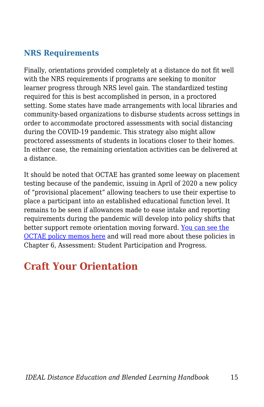### **NRS Requirements**

Finally, orientations provided completely at a distance do not fit well with the NRS requirements if programs are seeking to monitor learner progress through NRS level gain. The standardized testing required for this is best accomplished in person, in a proctored setting. Some states have made arrangements with local libraries and community-based organizations to disburse students across settings in order to accommodate proctored assessments with social distancing during the COVID-19 pandemic. This strategy also might allow proctored assessments of students in locations closer to their homes. In either case, the remaining orientation activities can be delivered at a distance.

It should be noted that OCTAE has granted some leeway on placement testing because of the pandemic, issuing in April of 2020 a new policy of "provisional placement" allowing teachers to use their expertise to place a participant into an established educational function level. It remains to be seen if allowances made to ease intake and reporting requirements during the pandemic will develop into policy shifts that better support remote orientation moving forward. [You can see the](https://www2.ed.gov/policy/adulted/guid/memoranda.html) [OCTAE policy memos here](https://www2.ed.gov/policy/adulted/guid/memoranda.html) and will read more about these policies in Chapter 6, Assessment: Student Participation and Progress.

## **Craft Your Orientation**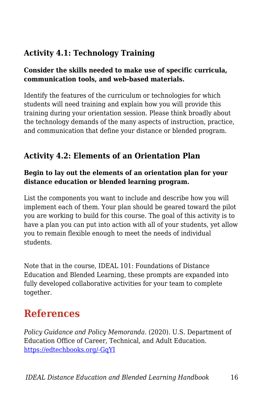### **Activity 4.1: Technology Training**

#### **Consider the skills needed to make use of specific curricula, communication tools, and web-based materials.**

Identify the features of the curriculum or technologies for which students will need training and explain how you will provide this training during your orientation session. Please think broadly about the technology demands of the many aspects of instruction, practice, and communication that define your distance or blended program.

#### **Activity 4.2: Elements of an Orientation Plan**

#### **Begin to lay out the elements of an orientation plan for your distance education or blended learning program.**

List the components you want to include and describe how you will implement each of them. Your plan should be geared toward the pilot you are working to build for this course. The goal of this activity is to have a plan you can put into action with all of your students, yet allow you to remain flexible enough to meet the needs of individual students.

Note that in the course, IDEAL 101: Foundations of Distance Education and Blended Learning, these prompts are expanded into fully developed collaborative activities for your team to complete together.

### **References**

*Policy Guidance and Policy Memoranda*. (2020). U.S. Department of Education Office of Career, Technical, and Adult Education. [https://edtechbooks.org/-GqYI](https://www2.ed.gov/policy/adulted/guid/memoranda.html)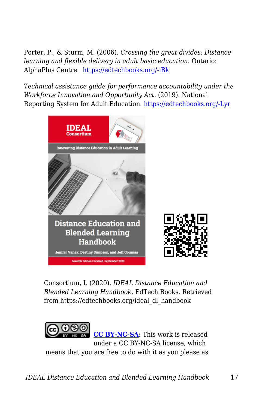Porter, P., & Sturm, M. (2006). *Crossing the great divides: Distance learning and flexible delivery in adult basic education*. Ontario: AlphaPlus Centre. [https://edtechbooks.org/-iBk](http://en.copian.ca/library/research/divides/divides.pdf)

*Technical assistance guide for performance accountability under the Workforce Innovation and Opportunity Act*. (2019). National Reporting System for Adult Education. [https://edtechbooks.org/-Lyr](https://nrsweb.org/policy-data/nrs-ta-guide)



Consortium, I. (2020). *IDEAL Distance Education and Blended Learning Handbook*. EdTech Books. Retrieved from https://edtechbooks.org/ideal\_dl\_handbook



**[CC BY-NC-SA](https://creativecommons.org/licenses/by-nc-sa/4.0):** This work is released under a CC BY-NC-SA license, which means that you are free to do with it as you please as